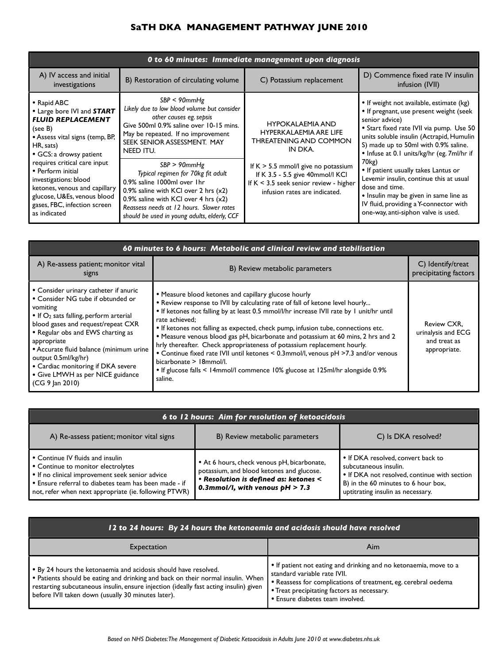# **SaTH DKA MANAGEMENT PATHWAY JUNE 2010**

| O to 60 minutes: Immediate management upon diagnosis                                                                                                                                                                                                                                                                                                      |                                                                                                                                                                                                                                                                                                                                                                                                                                                                                            |                                                                                                                                                                                                                                                                |                                                                                                                                                                                                                                                                                                                                                                                                                                                                                                                                           |  |  |  |
|-----------------------------------------------------------------------------------------------------------------------------------------------------------------------------------------------------------------------------------------------------------------------------------------------------------------------------------------------------------|--------------------------------------------------------------------------------------------------------------------------------------------------------------------------------------------------------------------------------------------------------------------------------------------------------------------------------------------------------------------------------------------------------------------------------------------------------------------------------------------|----------------------------------------------------------------------------------------------------------------------------------------------------------------------------------------------------------------------------------------------------------------|-------------------------------------------------------------------------------------------------------------------------------------------------------------------------------------------------------------------------------------------------------------------------------------------------------------------------------------------------------------------------------------------------------------------------------------------------------------------------------------------------------------------------------------------|--|--|--|
| A) IV access and initial<br>investigations                                                                                                                                                                                                                                                                                                                | B) Restoration of circulating volume                                                                                                                                                                                                                                                                                                                                                                                                                                                       | C) Potassium replacement                                                                                                                                                                                                                                       | D) Commence fixed rate IV insulin<br>infusion (IVII)                                                                                                                                                                                                                                                                                                                                                                                                                                                                                      |  |  |  |
| • Rapid ABC<br>• Large bore IVI and START<br><b>FLUID REPLACEMENT</b><br>(see B)<br>• Assess vital signs (temp, BP,<br>HR, sats)<br>• GCS: a drowsy patient<br>requires critical care input<br>• Perform initial<br>investigations: blood<br>ketones, venous and capillary<br>glucose, U&Es, venous blood<br>gases, FBC, infection screen<br>as indicated | SBP < 90mmHg<br>Likely due to low blood volume but consider<br>other causes eg. sepsis<br>Give 500ml 0.9% saline over 10-15 mins.<br>May be repeated. If no improvement<br>SEEK SENIOR ASSESSMENT. MAY<br>NEED ITU.<br>SBP > 90mmHg<br>Typical regimen for 70kg fit adult<br>0.9% saline 1000ml over 1hr<br>0.9% saline with KCI over 2 hrs $(x2)$<br>0.9% saline with KCI over $4$ hrs $(x2)$<br>Reassess needs at 12 hours. Slower rates<br>should be used in young adults, elderly, CCF | <b>HYPOKALAEMIA AND</b><br><b>HYPERKALAEMIA ARE LIFE</b><br><b>THREATENING AND COMMON</b><br>IN DKA.<br>If $K > 5.5$ mmol/l give no potassium<br>If K 3.5 - 5.5 give 40mmol/I KCI<br>If $K < 3.5$ seek senior review - higher<br>infusion rates are indicated. | • If weight not available, estimate (kg)<br>• If pregnant, use present weight (seek<br>senior advice)<br>• Start fixed rate IVII via pump. Use 50<br>units soluble insulin (Actrapid, Humulin<br>S) made up to 50ml with 0.9% saline.<br>• Infuse at 0.1 units/kg/hr (eg. 7ml/hr if<br>70 <sub>kg</sub> )<br>• If patient usually takes Lantus or<br>Levemir insulin, continue this at usual<br>dose and time.<br>• Insulin may be given in same line as<br>IV fluid, providing a Y-connector with<br>one-way, anti-siphon valve is used. |  |  |  |

| 60 minutes to 6 hours: Metabolic and clinical review and stabilisation                                                                                                                                                                                                                                                                                                                         |                                                                                                                                                                                                                                                                                                                                                                                                                                                                                                                                                                                                                                                                                                                     |                                                                   |  |  |  |
|------------------------------------------------------------------------------------------------------------------------------------------------------------------------------------------------------------------------------------------------------------------------------------------------------------------------------------------------------------------------------------------------|---------------------------------------------------------------------------------------------------------------------------------------------------------------------------------------------------------------------------------------------------------------------------------------------------------------------------------------------------------------------------------------------------------------------------------------------------------------------------------------------------------------------------------------------------------------------------------------------------------------------------------------------------------------------------------------------------------------------|-------------------------------------------------------------------|--|--|--|
| A) Re-assess patient; monitor vital<br>signs                                                                                                                                                                                                                                                                                                                                                   | B) Review metabolic parameters                                                                                                                                                                                                                                                                                                                                                                                                                                                                                                                                                                                                                                                                                      | C) Identify/treat<br>precipitating factors                        |  |  |  |
| • Consider urinary catheter if anuric<br>• Consider NG tube if obtunded or<br>vomiting<br>• If $O_2$ sats falling, perform arterial<br>blood gases and request/repeat CXR<br>• Regular obs and EWS charting as<br>appropriate<br>• Accurate fluid balance (minimum urine<br>output 0.5ml/kg/hr)<br>• Cardiac monitoring if DKA severe<br>• Give LMWH as per NICE guidance<br>$(CG 9$ Jan 2010) | • Measure blood ketones and capillary glucose hourly<br>• Review response to IVII by calculating rate of fall of ketone level hourly<br>• If ketones not falling by at least 0.5 mmol/l/hr increase IVII rate by 1 unit/hr until<br>rate achieved;<br>• If ketones not falling as expected, check pump, infusion tube, connections etc.<br>• Measure venous blood gas pH, bicarbonate and potassium at 60 mins, 2 hrs and 2<br>hrly thereafter. Check appropriateness of potassium replacement hourly.<br>• Continue fixed rate IVII until ketones < 0.3mmol/l, venous pH >7.3 and/or venous<br>bicarbonate > 18mmol/l.<br>• If glucose falls < 14mmol/l commence 10% glucose at 125ml/hr alongside 0.9%<br>saline. | Review CXR,<br>urinalysis and ECG<br>and treat as<br>appropriate. |  |  |  |

| 6 to 12 hours: Aim for resolution of ketoacidosis                                                                                                                                                                                           |                                                                                                                                                                        |                                                                                                                                                                                         |  |  |  |  |
|---------------------------------------------------------------------------------------------------------------------------------------------------------------------------------------------------------------------------------------------|------------------------------------------------------------------------------------------------------------------------------------------------------------------------|-----------------------------------------------------------------------------------------------------------------------------------------------------------------------------------------|--|--|--|--|
| A) Re-assess patient; monitor vital signs                                                                                                                                                                                                   | B) Review metabolic parameters                                                                                                                                         | C) Is DKA resolved?                                                                                                                                                                     |  |  |  |  |
| • Continue IV fluids and insulin<br>• Continue to monitor electrolytes<br>• If no clinical improvement seek senior advice<br>• Ensure referral to diabetes team has been made - if<br>not, refer when next appropriate (ie. following PTWR) | • At 6 hours, check venous pH, bicarbonate,<br>potassium, and blood ketones and glucose.<br>· Resolution is defined as: ketones <<br>0.3mmol/l, with venous $pH > 7.3$ | • If DKA resolved, convert back to<br>subcutaneous insulin.<br>• If DKA not resolved, continue with section<br>B) in the 60 minutes to 6 hour box,<br>uptitrating insulin as necessary. |  |  |  |  |

| 12 to 24 hours: By 24 hours the ketonaemia and acidosis should have resolved                                                                                                                                                                                                                      |                                                                                                                                                                                                                                                        |  |  |  |
|---------------------------------------------------------------------------------------------------------------------------------------------------------------------------------------------------------------------------------------------------------------------------------------------------|--------------------------------------------------------------------------------------------------------------------------------------------------------------------------------------------------------------------------------------------------------|--|--|--|
| Expectation                                                                                                                                                                                                                                                                                       | Aim                                                                                                                                                                                                                                                    |  |  |  |
| • By 24 hours the ketonaemia and acidosis should have resolved.<br>• Patients should be eating and drinking and back on their normal insulin. When<br>restarting subcutaneous insulin, ensure injection (ideally fast acting insulin) given<br>before IVII taken down (usually 30 minutes later). | • If patient not eating and drinking and no ketonaemia, move to a<br>standard variable rate IVII.<br>• Reassess for complications of treatment, eg. cerebral oedema<br>• Treat precipitating factors as necessary.<br>· Ensure diabetes team involved. |  |  |  |